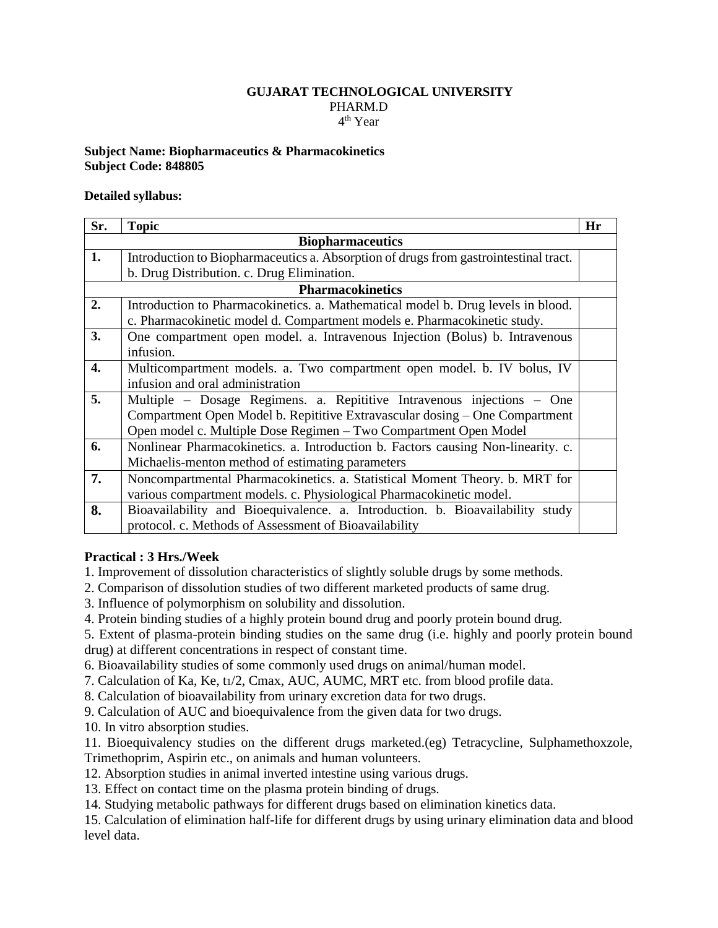#### **GUJARAT TECHNOLOGICAL UNIVERSITY** PHARM.D 4 th Year

#### **Subject Name: Biopharmaceutics & Pharmacokinetics Subject Code: 848805**

### **Detailed syllabus:**

| Sr.                     | <b>Topic</b>                                                                         | Hr |
|-------------------------|--------------------------------------------------------------------------------------|----|
| <b>Biopharmaceutics</b> |                                                                                      |    |
| 1.                      | Introduction to Biopharmaceutics a. Absorption of drugs from gastrointestinal tract. |    |
|                         | b. Drug Distribution. c. Drug Elimination.                                           |    |
| <b>Pharmacokinetics</b> |                                                                                      |    |
| 2.                      | Introduction to Pharmacokinetics. a. Mathematical model b. Drug levels in blood.     |    |
|                         | c. Pharmacokinetic model d. Compartment models e. Pharmacokinetic study.             |    |
| 3.                      | One compartment open model. a. Intravenous Injection (Bolus) b. Intravenous          |    |
|                         | infusion.                                                                            |    |
| 4.                      | Multicompartment models. a. Two compartment open model. b. IV bolus, IV              |    |
|                         | infusion and oral administration                                                     |    |
| 5.                      | Multiple - Dosage Regimens. a. Repititive Intravenous injections - One               |    |
|                         | Compartment Open Model b. Repititive Extravascular dosing - One Compartment          |    |
|                         | Open model c. Multiple Dose Regimen - Two Compartment Open Model                     |    |
| 6.                      | Nonlinear Pharmacokinetics. a. Introduction b. Factors causing Non-linearity. c.     |    |
|                         | Michaelis-menton method of estimating parameters                                     |    |
| 7.                      | Noncompartmental Pharmacokinetics. a. Statistical Moment Theory. b. MRT for          |    |
|                         | various compartment models. c. Physiological Pharmacokinetic model.                  |    |
| 8.                      | Bioavailability and Bioequivalence. a. Introduction. b. Bioavailability study        |    |
|                         | protocol. c. Methods of Assessment of Bioavailability                                |    |

# **Practical : 3 Hrs./Week**

1. Improvement of dissolution characteristics of slightly soluble drugs by some methods.

2. Comparison of dissolution studies of two different marketed products of same drug.

3. Influence of polymorphism on solubility and dissolution.

4. Protein binding studies of a highly protein bound drug and poorly protein bound drug.

5. Extent of plasma-protein binding studies on the same drug (i.e. highly and poorly protein bound drug) at different concentrations in respect of constant time.

6. Bioavailability studies of some commonly used drugs on animal/human model.

7. Calculation of Ka, Ke, tı/2, Cmax, AUC, AUMC, MRT etc. from blood profile data.

8. Calculation of bioavailability from urinary excretion data for two drugs.

9. Calculation of AUC and bioequivalence from the given data for two drugs.

10. In vitro absorption studies.

11. Bioequivalency studies on the different drugs marketed.(eg) Tetracycline, Sulphamethoxzole, Trimethoprim, Aspirin etc., on animals and human volunteers.

12. Absorption studies in animal inverted intestine using various drugs.

13. Effect on contact time on the plasma protein binding of drugs.

14. Studying metabolic pathways for different drugs based on elimination kinetics data.

15. Calculation of elimination half-life for different drugs by using urinary elimination data and blood level data.